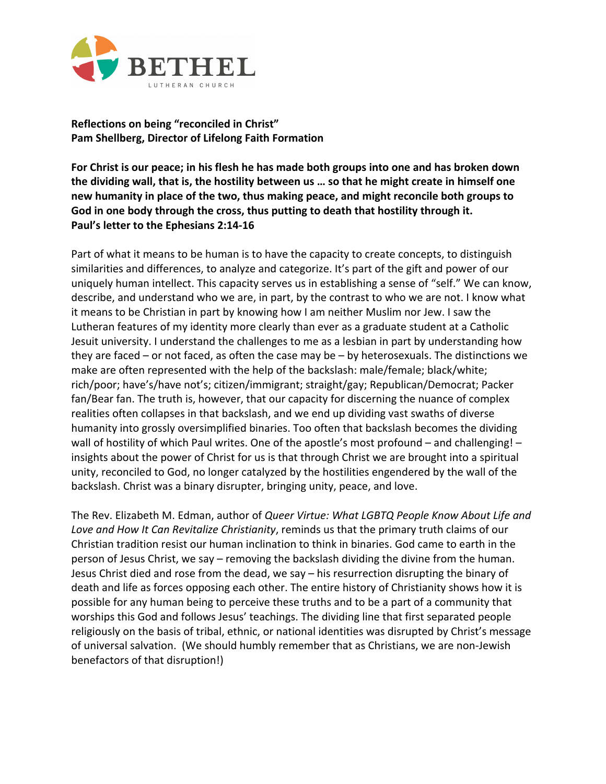

**Reflections on being "reconciled in Christ" Pam Shellberg, Director of Lifelong Faith Formation**

**For Christ is our peace; in his flesh he has made both groups into one and has broken down the dividing wall, that is, the hostility between us … so that he might create in himself one new humanity in place of the two, thus making peace, and might reconcile both groups to God in one body through the cross, thus putting to death that hostility through it. Paul's letter to the Ephesians 2:14-16**

Part of what it means to be human is to have the capacity to create concepts, to distinguish similarities and differences, to analyze and categorize. It's part of the gift and power of our uniquely human intellect. This capacity serves us in establishing a sense of "self." We can know, describe, and understand who we are, in part, by the contrast to who we are not. I know what it means to be Christian in part by knowing how I am neither Muslim nor Jew. I saw the Lutheran features of my identity more clearly than ever as a graduate student at a Catholic Jesuit university. I understand the challenges to me as a lesbian in part by understanding how they are faced – or not faced, as often the case may be – by heterosexuals. The distinctions we make are often represented with the help of the backslash: male/female; black/white; rich/poor; have's/have not's; citizen/immigrant; straight/gay; Republican/Democrat; Packer fan/Bear fan. The truth is, however, that our capacity for discerning the nuance of complex realities often collapses in that backslash, and we end up dividing vast swaths of diverse humanity into grossly oversimplified binaries. Too often that backslash becomes the dividing wall of hostility of which Paul writes. One of the apostle's most profound – and challenging! – insights about the power of Christ for us is that through Christ we are brought into a spiritual unity, reconciled to God, no longer catalyzed by the hostilities engendered by the wall of the backslash. Christ was a binary disrupter, bringing unity, peace, and love.

The Rev. Elizabeth M. Edman, author of *Queer Virtue: What LGBTQ People Know About Life and Love and How It Can Revitalize Christianity*, reminds us that the primary truth claims of our Christian tradition resist our human inclination to think in binaries. God came to earth in the person of Jesus Christ, we say – removing the backslash dividing the divine from the human. Jesus Christ died and rose from the dead, we say – his resurrection disrupting the binary of death and life as forces opposing each other. The entire history of Christianity shows how it is possible for any human being to perceive these truths and to be a part of a community that worships this God and follows Jesus' teachings. The dividing line that first separated people religiously on the basis of tribal, ethnic, or national identities was disrupted by Christ's message of universal salvation. (We should humbly remember that as Christians, we are non-Jewish benefactors of that disruption!)